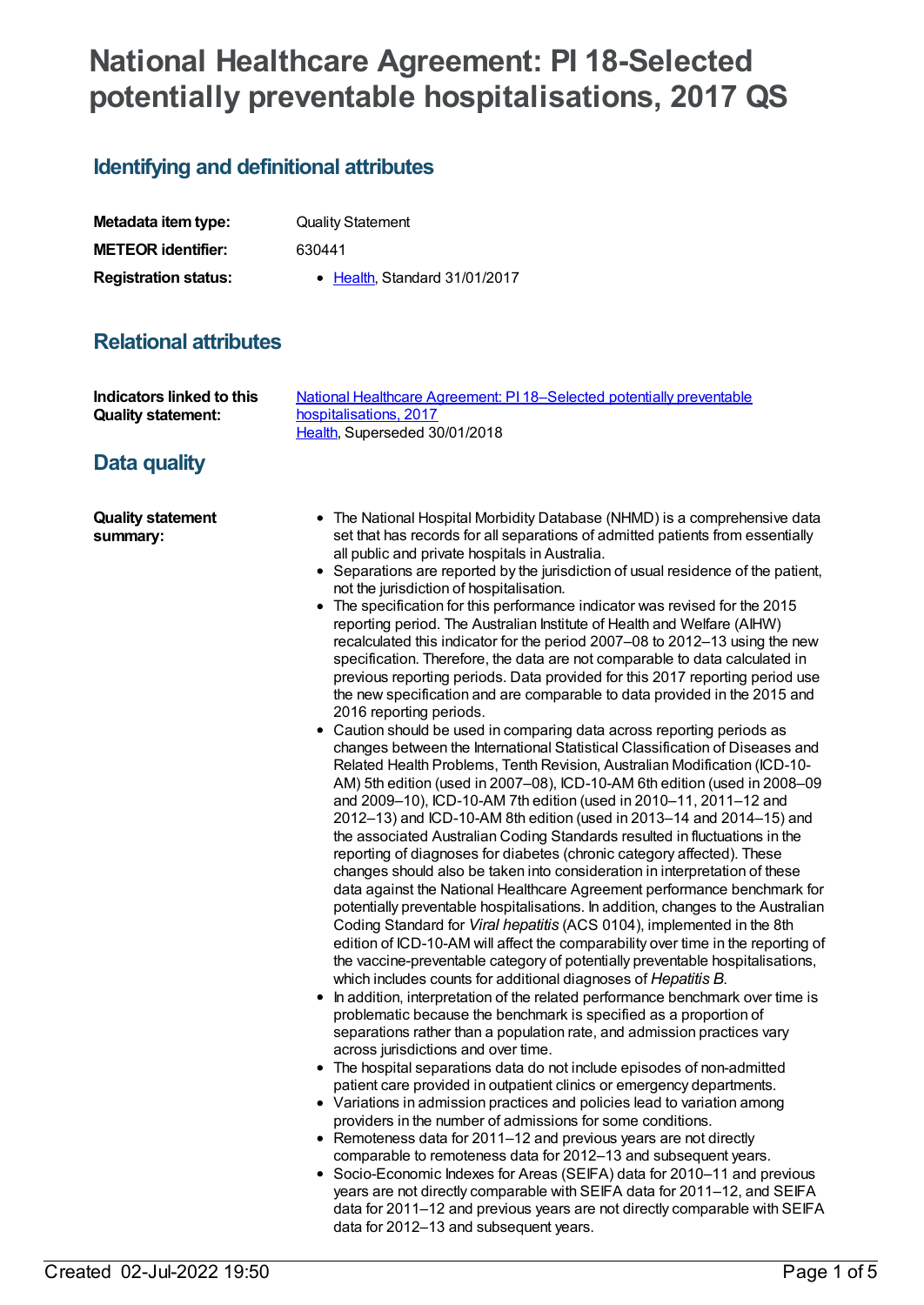# **National Healthcare Agreement: PI 18-Selected potentially preventable hospitalisations, 2017 QS**

# **Identifying and definitional attributes**

| Metadata item type:         | <b>Quality Statement</b>              |
|-----------------------------|---------------------------------------|
| <b>METEOR identifier:</b>   | 630441                                |
| <b>Registration status:</b> | $\bullet$ Health. Standard 31/01/2017 |

# **Relational attributes**

| Indicators linked to this            | National Healthcare Agreement: PI 18-Selected potentially preventable                                                                                                                                                                                                                                                                                                                                                                                                                                                                                                                                                                                                                                                                                                                                                                                                                                                                                                                                                                                                                                                                                                                                                                                                                                                                                                                                                                                                                                                                                                                                                                                                                                                                                                                                                                                                                                                                                                                                                                                                                                                                                                                                                                                                                                                                                                                                                                                                                                                                                                                                                                                                                                                                                                                                                                                                                                                                                                                                  |
|--------------------------------------|--------------------------------------------------------------------------------------------------------------------------------------------------------------------------------------------------------------------------------------------------------------------------------------------------------------------------------------------------------------------------------------------------------------------------------------------------------------------------------------------------------------------------------------------------------------------------------------------------------------------------------------------------------------------------------------------------------------------------------------------------------------------------------------------------------------------------------------------------------------------------------------------------------------------------------------------------------------------------------------------------------------------------------------------------------------------------------------------------------------------------------------------------------------------------------------------------------------------------------------------------------------------------------------------------------------------------------------------------------------------------------------------------------------------------------------------------------------------------------------------------------------------------------------------------------------------------------------------------------------------------------------------------------------------------------------------------------------------------------------------------------------------------------------------------------------------------------------------------------------------------------------------------------------------------------------------------------------------------------------------------------------------------------------------------------------------------------------------------------------------------------------------------------------------------------------------------------------------------------------------------------------------------------------------------------------------------------------------------------------------------------------------------------------------------------------------------------------------------------------------------------------------------------------------------------------------------------------------------------------------------------------------------------------------------------------------------------------------------------------------------------------------------------------------------------------------------------------------------------------------------------------------------------------------------------------------------------------------------------------------------------|
| <b>Quality statement:</b>            | hospitalisations, 2017                                                                                                                                                                                                                                                                                                                                                                                                                                                                                                                                                                                                                                                                                                                                                                                                                                                                                                                                                                                                                                                                                                                                                                                                                                                                                                                                                                                                                                                                                                                                                                                                                                                                                                                                                                                                                                                                                                                                                                                                                                                                                                                                                                                                                                                                                                                                                                                                                                                                                                                                                                                                                                                                                                                                                                                                                                                                                                                                                                                 |
| Data quality                         | Health, Superseded 30/01/2018                                                                                                                                                                                                                                                                                                                                                                                                                                                                                                                                                                                                                                                                                                                                                                                                                                                                                                                                                                                                                                                                                                                                                                                                                                                                                                                                                                                                                                                                                                                                                                                                                                                                                                                                                                                                                                                                                                                                                                                                                                                                                                                                                                                                                                                                                                                                                                                                                                                                                                                                                                                                                                                                                                                                                                                                                                                                                                                                                                          |
| <b>Quality statement</b><br>summary: | • The National Hospital Morbidity Database (NHMD) is a comprehensive data<br>set that has records for all separations of admitted patients from essentially<br>all public and private hospitals in Australia.<br>• Separations are reported by the jurisdiction of usual residence of the patient,<br>not the jurisdiction of hospitalisation.<br>• The specification for this performance indicator was revised for the 2015<br>reporting period. The Australian Institute of Health and Welfare (AIHW)<br>recalculated this indicator for the period 2007-08 to 2012-13 using the new<br>specification. Therefore, the data are not comparable to data calculated in<br>previous reporting periods. Data provided for this 2017 reporting period use<br>the new specification and are comparable to data provided in the 2015 and<br>2016 reporting periods.<br>Caution should be used in comparing data across reporting periods as<br>changes between the International Statistical Classification of Diseases and<br>Related Health Problems, Tenth Revision, Australian Modification (ICD-10-<br>AM) 5th edition (used in 2007-08), ICD-10-AM 6th edition (used in 2008-09<br>and 2009-10), ICD-10-AM 7th edition (used in 2010-11, 2011-12 and<br>2012-13) and ICD-10-AM 8th edition (used in 2013-14 and 2014-15) and<br>the associated Australian Coding Standards resulted in fluctuations in the<br>reporting of diagnoses for diabetes (chronic category affected). These<br>changes should also be taken into consideration in interpretation of these<br>data against the National Healthcare Agreement performance benchmark for<br>potentially preventable hospitalisations. In addition, changes to the Australian<br>Coding Standard for Viral hepatitis (ACS 0104), implemented in the 8th<br>edition of ICD-10-AM will affect the comparability over time in the reporting of<br>the vaccine-preventable category of potentially preventable hospitalisations,<br>which includes counts for additional diagnoses of Hepatitis B.<br>In addition, interpretation of the related performance benchmark over time is<br>problematic because the benchmark is specified as a proportion of<br>separations rather than a population rate, and admission practices vary<br>across jurisdictions and over time.<br>The hospital separations data do not include episodes of non-admitted<br>patient care provided in outpatient clinics or emergency departments.<br>• Variations in admission practices and policies lead to variation among<br>providers in the number of admissions for some conditions.<br>• Remoteness data for 2011-12 and previous years are not directly<br>comparable to remoteness data for 2012-13 and subsequent years.<br>• Socio-Economic Indexes for Areas (SEIFA) data for 2010-11 and previous<br>years are not directly comparable with SEIFA data for 2011-12, and SEIFA<br>data for 2011-12 and previous years are not directly comparable with SEIFA |

data for 2012–13 and subsequent years.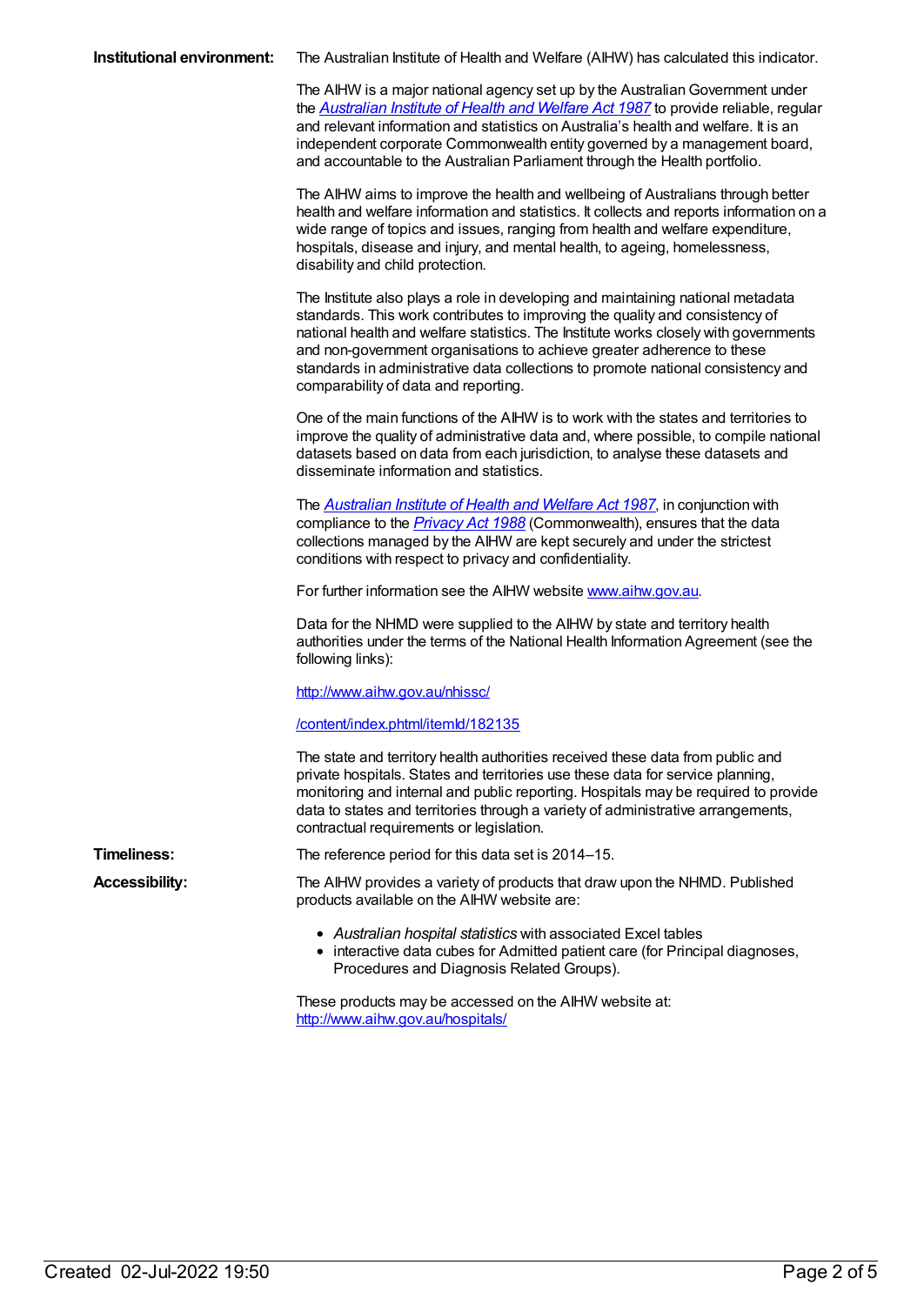|  | Institutional environment: The Australian Institute of Health and Welfare (AIHW) has calculated this indicator. |
|--|-----------------------------------------------------------------------------------------------------------------|
|--|-----------------------------------------------------------------------------------------------------------------|

The AIHW is a major national agency set up by the Australian Government under the *[Australian](https://www.legislation.gov.au/Series/C2004A03450) Institute of Health and Welfare Act 1987* to provide reliable, regular and relevant information and statistics on Australia's health and welfare. It is an independent corporate Commonwealth entity governed by a management board, and accountable to the Australian Parliament through the Health portfolio.

The AIHW aims to improve the health and wellbeing of Australians through better health and welfare information and statistics. It collects and reports information on a wide range of topics and issues, ranging from health and welfare expenditure, hospitals, disease and injury, and mental health, to ageing, homelessness, disability and child protection.

The Institute also plays a role in developing and maintaining national metadata standards. This work contributes to improving the quality and consistency of national health and welfare statistics. The Institute works closely with governments and non-government organisations to achieve greater adherence to these standards in administrative data collections to promote national consistency and comparability of data and reporting.

One of the main functions of the AIHW is to work with the states and territories to improve the quality of administrative data and, where possible, to compile national datasets based on data from each jurisdiction, to analyse these datasets and disseminate information and statistics.

The *[Australian](https://www.legislation.gov.au/Series/C2004A03450) Institute of Health and Welfare Act 1987*, in conjunction with compliance to the *[Privacy](https://www.legislation.gov.au/Series/C2004A03712) Act 1988* (Commonwealth), ensures that the data collections managed by the AIHW are kept securely and under the strictest conditions with respect to privacy and confidentiality.

For further information see the AIHW website [www.aihw.gov.au](http://www.aihw.gov.au/).

Data for the NHMD were supplied to the AIHW by state and territory health authorities under the terms of the National Health Information Agreement (see the following links):

<http://www.aihw.gov.au/nhissc/>

#### [/content/index.phtml/itemId/182135](file:///content/182135)

The state and territory health authorities received these data from public and private hospitals. States and territories use these data for service planning, monitoring and internal and public reporting. Hospitals may be required to provide data to states and territories through a variety of administrative arrangements, contractual requirements or legislation.

**Timeliness:** The reference period for this data set is 2014–15.

**Accessibility:** The AIHW provides a variety of products that draw upon the NHMD. Published products available on the AIHW website are:

- *Australian hospital statistics* with associated Excel tables
- interactive data cubes for Admitted patient care (for Principal diagnoses, Procedures and Diagnosis Related Groups).

These products may be accessed on the AIHW website at: <http://www.aihw.gov.au/hospitals/>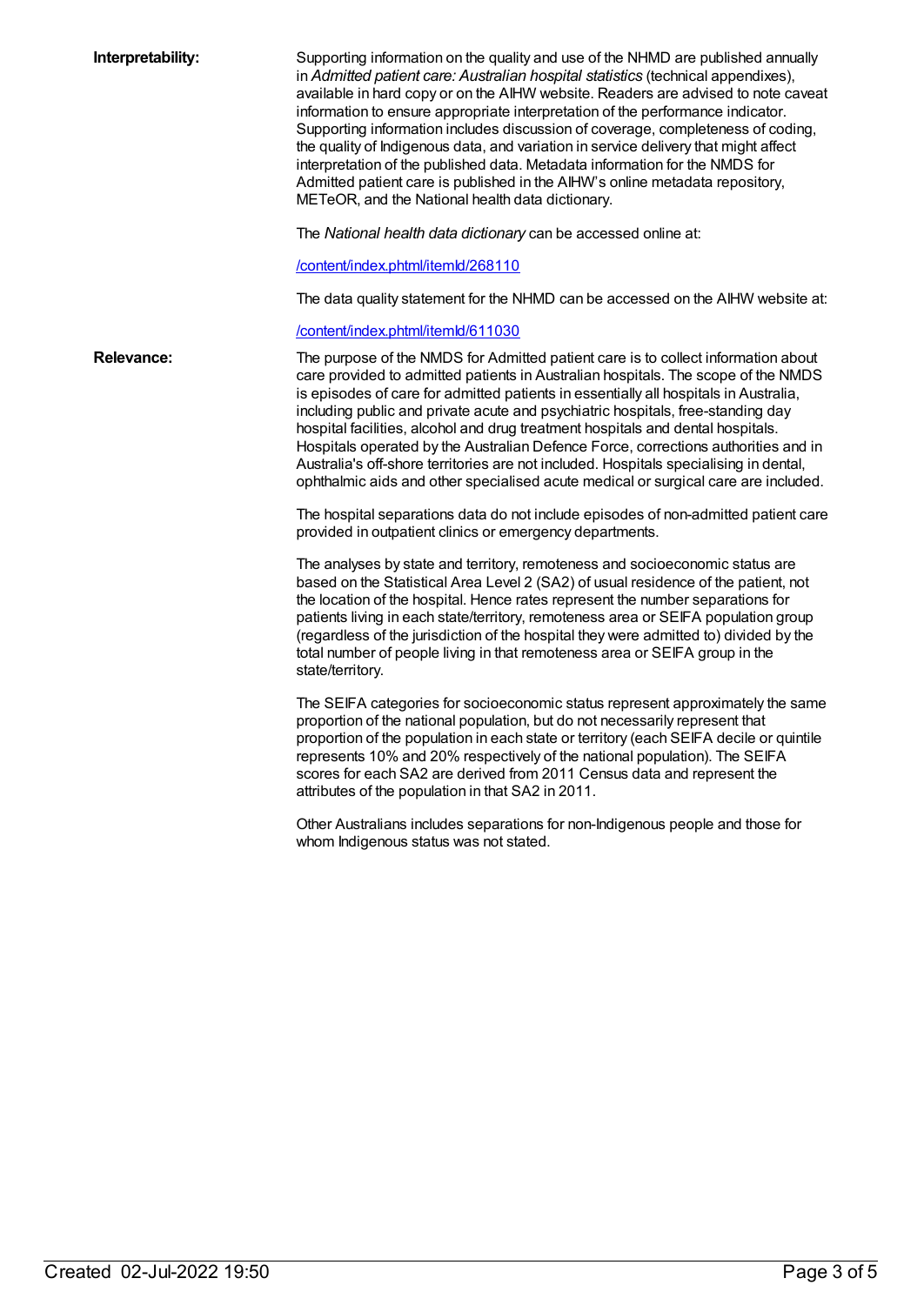| Interpretability: | Supporting information on the quality and use of the NHMD are published annually<br>in Admitted patient care: Australian hospital statistics (technical appendixes),<br>available in hard copy or on the AIHW website. Readers are advised to note caveat<br>information to ensure appropriate interpretation of the performance indicator.<br>Supporting information includes discussion of coverage, completeness of coding,<br>the quality of Indigenous data, and variation in service delivery that might affect<br>interpretation of the published data. Metadata information for the NMDS for<br>Admitted patient care is published in the AIHW's online metadata repository,<br>METeOR, and the National health data dictionary.<br>The National health data dictionary can be accessed online at:<br>/content/index.phtml/itemld/268110<br>The data quality statement for the NHMD can be accessed on the AIHW website at: |
|-------------------|-------------------------------------------------------------------------------------------------------------------------------------------------------------------------------------------------------------------------------------------------------------------------------------------------------------------------------------------------------------------------------------------------------------------------------------------------------------------------------------------------------------------------------------------------------------------------------------------------------------------------------------------------------------------------------------------------------------------------------------------------------------------------------------------------------------------------------------------------------------------------------------------------------------------------------------|
|                   | /content/index.phtml/itemld/611030                                                                                                                                                                                                                                                                                                                                                                                                                                                                                                                                                                                                                                                                                                                                                                                                                                                                                                  |
| <b>Relevance:</b> | The purpose of the NMDS for Admitted patient care is to collect information about<br>care provided to admitted patients in Australian hospitals. The scope of the NMDS<br>is episodes of care for admitted patients in essentially all hospitals in Australia,<br>including public and private acute and psychiatric hospitals, free-standing day<br>hospital facilities, alcohol and drug treatment hospitals and dental hospitals.<br>Hospitals operated by the Australian Defence Force, corrections authorities and in<br>Australia's off-shore territories are not included. Hospitals specialising in dental,<br>ophthalmic aids and other specialised acute medical or surgical care are included.                                                                                                                                                                                                                           |
|                   | The hospital separations data do not include episodes of non-admitted patient care<br>provided in outpatient clinics or emergency departments.                                                                                                                                                                                                                                                                                                                                                                                                                                                                                                                                                                                                                                                                                                                                                                                      |
|                   | The analyses by state and territory, remoteness and socioeconomic status are<br>based on the Statistical Area Level 2 (SA2) of usual residence of the patient, not<br>the location of the hospital. Hence rates represent the number separations for<br>patients living in each state/territory, remoteness area or SEIFA population group<br>(regardless of the jurisdiction of the hospital they were admitted to) divided by the<br>total number of people living in that remoteness area or SEIFA group in the<br>state/territory.                                                                                                                                                                                                                                                                                                                                                                                              |
|                   | The SEIFA categories for socioeconomic status represent approximately the same<br>proportion of the national population, but do not necessarily represent that<br>proportion of the population in each state or territory (each SEIFA decile or quintile<br>represents 10% and 20% respectively of the national population). The SEIFA<br>scores for each SA2 are derived from 2011 Census data and represent the<br>attributes of the population in that SA2 in 2011.                                                                                                                                                                                                                                                                                                                                                                                                                                                              |
|                   | Other Australians includes separations for non-Indigenous people and those for<br>whom Indigenous status was not stated.                                                                                                                                                                                                                                                                                                                                                                                                                                                                                                                                                                                                                                                                                                                                                                                                            |
|                   |                                                                                                                                                                                                                                                                                                                                                                                                                                                                                                                                                                                                                                                                                                                                                                                                                                                                                                                                     |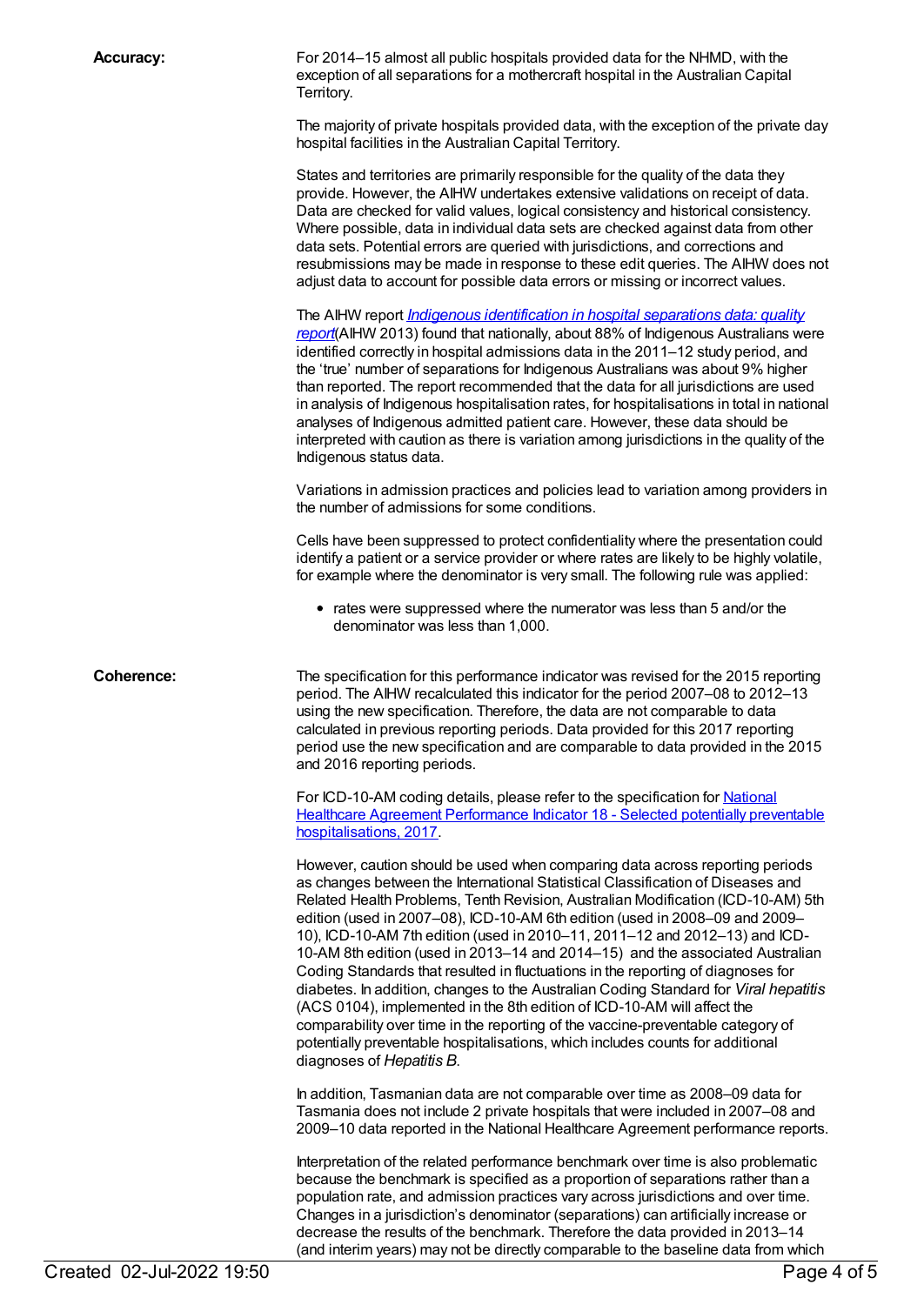**Accuracy:** For 2014–15 almost all public hospitals provided data for the NHMD, with the exception of all separations for a mothercraft hospital in the Australian Capital Territory.

> The majority of private hospitals provided data, with the exception of the private day hospital facilities in the Australian Capital Territory.

> States and territories are primarily responsible for the quality of the data they provide. However, the AIHW undertakes extensive validations on receipt of data. Data are checked for valid values, logical consistency and historical consistency. Where possible, data in individual data sets are checked against data from other data sets. Potential errors are queried with jurisdictions, and corrections and resubmissions may be made in response to these edit queries. The AIHW does not adjust data to account for possible data errors or missing or incorrect values.

> The AIHW report *Indigenous [identification](http://www.aihw.gov.au/publication-detail/?id=60129543215) in hospital separations data: quality report*(AIHW 2013) found that nationally, about 88% of Indigenous Australians were identified correctly in hospital admissions data in the 2011–12 study period, and the 'true' number of separations for Indigenous Australians was about 9% higher than reported. The report recommended that the data for all jurisdictions are used in analysis of Indigenous hospitalisation rates, for hospitalisations in total in national analyses of Indigenous admitted patient care. However, these data should be interpreted with caution as there is variation among jurisdictions in the quality of the Indigenous status data.

> Variations in admission practices and policies lead to variation among providers in the number of admissions for some conditions.

> Cells have been suppressed to protect confidentiality where the presentation could identify a patient or a service provider or where rates are likely to be highly volatile, for example where the denominator is very small. The following rule was applied:

• rates were suppressed where the numerator was less than 5 and/or the denominator was less than 1,000.

**Coherence:** The specification for this performance indicator was revised for the 2015 reporting period. The AIHW recalculated this indicator for the period 2007–08 to 2012–13 using the new specification. Therefore, the data are not comparable to data calculated in previous reporting periods. Data provided for this 2017 reporting period use the new specification and are comparable to data provided in the 2015 and 2016 reporting periods.

> For ICD-10-AM coding details, please refer to the specification for National Healthcare Agreement Performance Indicator 18 - Selected potentially preventable [hospitalisations,](file:///content/630028) 2017.

> However, caution should be used when comparing data across reporting periods as changes between the International Statistical Classification of Diseases and Related Health Problems, Tenth Revision, Australian Modification (ICD-10-AM) 5th edition (used in 2007–08), ICD-10-AM 6th edition (used in 2008–09 and 2009– 10), ICD-10-AM 7th edition (used in 2010–11, 2011–12 and 2012–13) and ICD-10-AM 8th edition (used in 2013–14 and 2014–15) and the associated Australian Coding Standards that resulted in fluctuations in the reporting of diagnoses for diabetes. In addition, changes to the Australian Coding Standard for *Viral hepatitis* (ACS 0104), implemented in the 8th edition of ICD-10-AM will affect the comparability over time in the reporting of the vaccine-preventable category of potentially preventable hospitalisations, which includes counts for additional diagnoses of *Hepatitis B*.

> In addition, Tasmanian data are not comparable over time as 2008–09 data for Tasmania does not include 2 private hospitals that were included in 2007–08 and 2009–10 data reported in the National Healthcare Agreement performance reports.

Interpretation of the related performance benchmark over time is also problematic because the benchmark is specified as a proportion of separations rather than a population rate, and admission practices vary across jurisdictions and over time. Changes in a jurisdiction's denominator (separations) can artificially increase or decrease the results of the benchmark. Therefore the data provided in 2013–14 (and interim years) may not be directly comparable to the baseline data from which